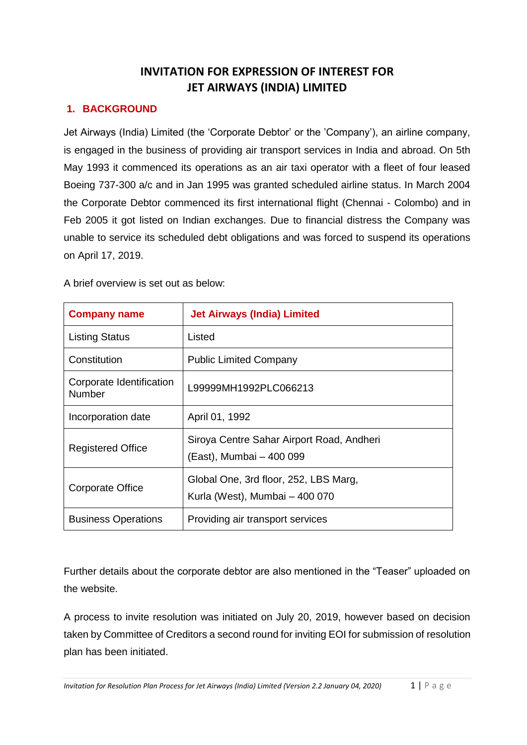# **INVITATION FOR EXPRESSION OF INTEREST FOR JET AIRWAYS (INDIA) LIMITED**

## **1. BACKGROUND**

Jet Airways (India) Limited (the 'Corporate Debtor' or the 'Company'), an airline company, is engaged in the business of providing air transport services in India and abroad. On 5th May 1993 it commenced its operations as an air taxi operator with a fleet of four leased Boeing 737-300 a/c and in Jan 1995 was granted scheduled airline status. In March 2004 the Corporate Debtor commenced its first international flight (Chennai - Colombo) and in Feb 2005 it got listed on Indian exchanges. Due to financial distress the Company was unable to service its scheduled debt obligations and was forced to suspend its operations on April 17, 2019.

A brief overview is set out as below:

| <b>Company name</b>                       | <b>Jet Airways (India) Limited</b>                                      |  |
|-------------------------------------------|-------------------------------------------------------------------------|--|
| <b>Listing Status</b>                     | Listed                                                                  |  |
| Constitution                              | <b>Public Limited Company</b>                                           |  |
| Corporate Identification<br><b>Number</b> | L99999MH1992PLC066213                                                   |  |
| Incorporation date                        | April 01, 1992                                                          |  |
| <b>Registered Office</b>                  | Siroya Centre Sahar Airport Road, Andheri<br>(East), Mumbai - 400 099   |  |
| Corporate Office                          | Global One, 3rd floor, 252, LBS Marg,<br>Kurla (West), Mumbai - 400 070 |  |
| <b>Business Operations</b>                | Providing air transport services                                        |  |

Further details about the corporate debtor are also mentioned in the "Teaser" uploaded on the website.

A process to invite resolution was initiated on July 20, 2019, however based on decision taken by Committee of Creditors a second round for inviting EOI for submission of resolution plan has been initiated.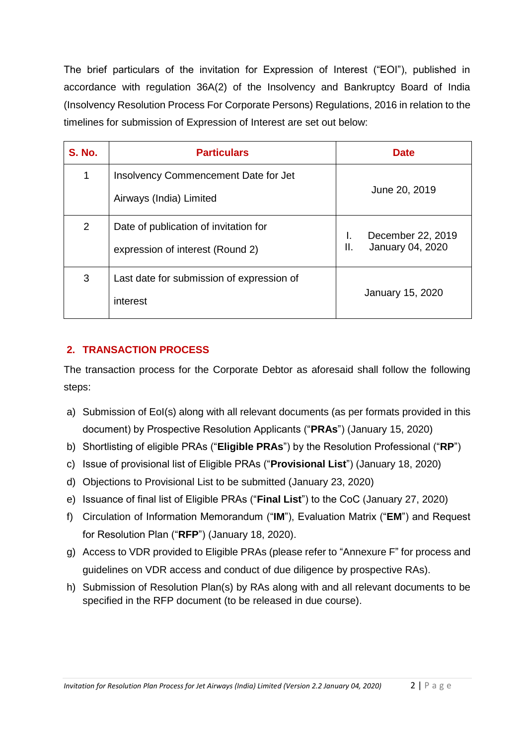The brief particulars of the invitation for Expression of Interest ("EOI"), published in accordance with regulation 36A(2) of the Insolvency and Bankruptcy Board of India (Insolvency Resolution Process For Corporate Persons) Regulations, 2016 in relation to the timelines for submission of Expression of Interest are set out below:

| <b>S. No.</b> | <b>Particulars</b>                                                        | <b>Date</b>                                        |
|---------------|---------------------------------------------------------------------------|----------------------------------------------------|
| 1             | Insolvency Commencement Date for Jet<br>Airways (India) Limited           | June 20, 2019                                      |
| 2             | Date of publication of invitation for<br>expression of interest (Round 2) | December 22, 2019<br>I.<br>ΙΙ.<br>January 04, 2020 |
| 3             | Last date for submission of expression of<br>interest                     | January 15, 2020                                   |

# **2. TRANSACTION PROCESS**

The transaction process for the Corporate Debtor as aforesaid shall follow the following steps:

- a) Submission of EoI(s) along with all relevant documents (as per formats provided in this document) by Prospective Resolution Applicants ("**PRAs**") (January 15, 2020)
- b) Shortlisting of eligible PRAs ("**Eligible PRAs**") by the Resolution Professional ("**RP**")
- c) Issue of provisional list of Eligible PRAs ("**Provisional List**") (January 18, 2020)
- d) Objections to Provisional List to be submitted (January 23, 2020)
- e) Issuance of final list of Eligible PRAs ("**Final List**") to the CoC (January 27, 2020)
- f) Circulation of Information Memorandum ("**IM**"), Evaluation Matrix ("**EM**") and Request for Resolution Plan ("**RFP**") (January 18, 2020).
- g) Access to VDR provided to Eligible PRAs (please refer to "Annexure F" for process and guidelines on VDR access and conduct of due diligence by prospective RAs).
- h) Submission of Resolution Plan(s) by RAs along with and all relevant documents to be specified in the RFP document (to be released in due course).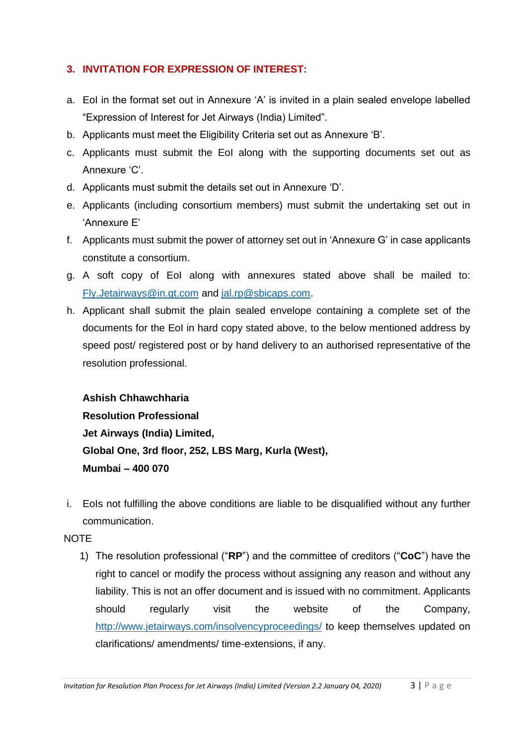# **3. INVITATION FOR EXPRESSION OF INTEREST:**

- a. EoI in the format set out in Annexure 'A' is invited in a plain sealed envelope labelled "Expression of Interest for Jet Airways (India) Limited".
- b. Applicants must meet the Eligibility Criteria set out as Annexure 'B'.
- c. Applicants must submit the EoI along with the supporting documents set out as Annexure 'C'.
- d. Applicants must submit the details set out in Annexure 'D'.
- e. Applicants (including consortium members) must submit the undertaking set out in 'Annexure E'
- f. Applicants must submit the power of attorney set out in 'Annexure G' in case applicants constitute a consortium.
- g. A soft copy of EoI along with annexures stated above shall be mailed to: [Fly.Jetairways@in.gt.com](mailto:Fly.Jetairways@in.gt.com) and [jal.rp@sbicaps.com.](mailto:jal.rp@sbicaps.com)
- h. Applicant shall submit the plain sealed envelope containing a complete set of the documents for the EoI in hard copy stated above, to the below mentioned address by speed post/ registered post or by hand delivery to an authorised representative of the resolution professional.

# **Ashish Chhawchharia Resolution Professional Jet Airways (India) Limited, Global One, 3rd floor, 252, LBS Marg, Kurla (West), Mumbai – 400 070**

i. EoIs not fulfilling the above conditions are liable to be disqualified without any further communication.

### **NOTE**

1) The resolution professional ("**RP**") and the committee of creditors ("**CoC**") have the right to cancel or modify the process without assigning any reason and without any liability. This is not an offer document and is issued with no commitment. Applicants should regularly visit the website of the Company, <http://www.jetairways.com/insolvencyproceedings/> to keep themselves updated on clarifications/ amendments/ time-extensions, if any.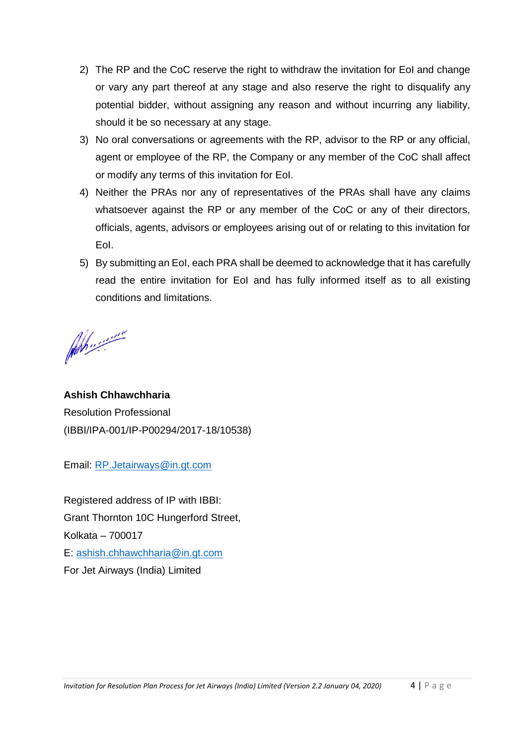- 2) The RP and the CoC reserve the right to withdraw the invitation for EoI and change or vary any part thereof at any stage and also reserve the right to disqualify any potential bidder, without assigning any reason and without incurring any liability, should it be so necessary at any stage.
- 3) No oral conversations or agreements with the RP, advisor to the RP or any official, agent or employee of the RP, the Company or any member of the CoC shall affect or modify any terms of this invitation for EoI.
- 4) Neither the PRAs nor any of representatives of the PRAs shall have any claims whatsoever against the RP or any member of the CoC or any of their directors, officials, agents, advisors or employees arising out of or relating to this invitation for EoI.
- 5) By submitting an EoI, each PRA shall be deemed to acknowledge that it has carefully read the entire invitation for EoI and has fully informed itself as to all existing conditions and limitations.

Ah .........

**Ashish Chhawchharia** Resolution Professional (IBBI/IPA-001/IP-P00294/2017-18/10538)

Email: [RP.Jetairways@in.gt.com](mailto:RP.Jetairways@in.gt.com)

Registered address of IP with IBBI: Grant Thornton 10C Hungerford Street, Kolkata – 700017 E: [ashish.chhawchharia@in.gt.com](mailto:ashish.chhawchharia@in.gt.com) For Jet Airways (India) Limited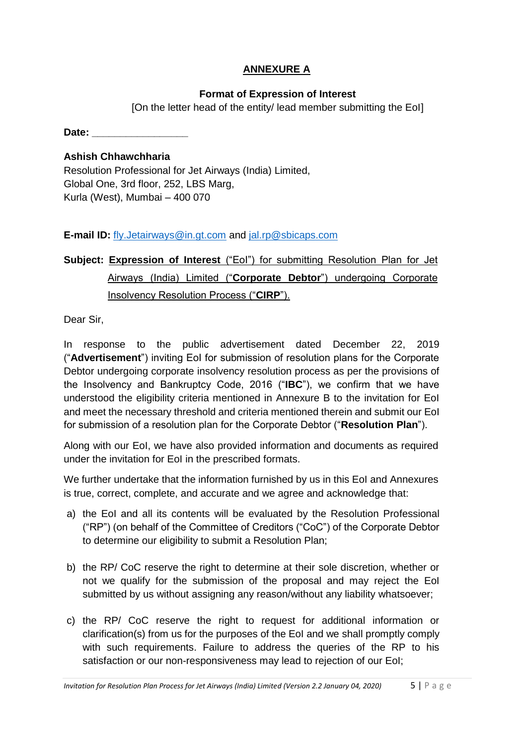# **ANNEXURE A**

## **Format of Expression of Interest**

[On the letter head of the entity/ lead member submitting the EoI]

**Date: \_\_\_\_\_\_\_\_\_\_\_\_\_\_\_\_\_**

## **Ashish Chhawchharia**

Resolution Professional for Jet Airways (India) Limited, Global One, 3rd floor, 252, LBS Marg, Kurla (West), Mumbai – 400 070

# **E-mail ID:** [fly.Jetairways@in.gt.com](mailto:fly.Jetairways@in.gt.com) and [jal.rp@sbicaps.com](mailto:jal.rp@sbicaps.com)

# **Subject: Expression of Interest** ("EoI") for submitting Resolution Plan for Jet Airways (India) Limited ("**Corporate Debtor**") undergoing Corporate Insolvency Resolution Process ("**CIRP**").

Dear Sir,

In response to the public advertisement dated December 22, 2019 ("**Advertisement**") inviting EoI for submission of resolution plans for the Corporate Debtor undergoing corporate insolvency resolution process as per the provisions of the Insolvency and Bankruptcy Code, 2016 ("**IBC**"), we confirm that we have understood the eligibility criteria mentioned in Annexure B to the invitation for EoI and meet the necessary threshold and criteria mentioned therein and submit our EoI for submission of a resolution plan for the Corporate Debtor ("**Resolution Plan**").

Along with our EoI, we have also provided information and documents as required under the invitation for EoI in the prescribed formats.

We further undertake that the information furnished by us in this EoI and Annexures is true, correct, complete, and accurate and we agree and acknowledge that:

- a) the EoI and all its contents will be evaluated by the Resolution Professional ("RP") (on behalf of the Committee of Creditors ("CoC") of the Corporate Debtor to determine our eligibility to submit a Resolution Plan;
- b) the RP/ CoC reserve the right to determine at their sole discretion, whether or not we qualify for the submission of the proposal and may reject the EoI submitted by us without assigning any reason/without any liability whatsoever;
- c) the RP/ CoC reserve the right to request for additional information or clarification(s) from us for the purposes of the EoI and we shall promptly comply with such requirements. Failure to address the queries of the RP to his satisfaction or our non-responsiveness may lead to rejection of our EoI;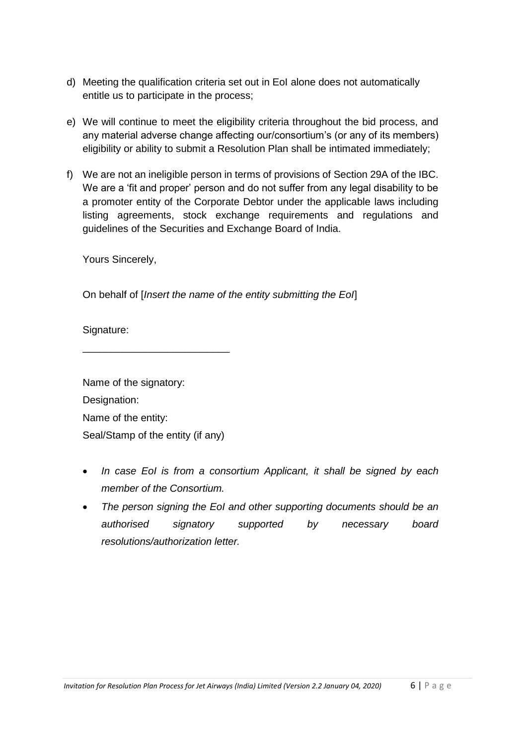- d) Meeting the qualification criteria set out in EoI alone does not automatically entitle us to participate in the process;
- e) We will continue to meet the eligibility criteria throughout the bid process, and any material adverse change affecting our/consortium's (or any of its members) eligibility or ability to submit a Resolution Plan shall be intimated immediately;
- f) We are not an ineligible person in terms of provisions of Section 29A of the IBC. We are a 'fit and proper' person and do not suffer from any legal disability to be a promoter entity of the Corporate Debtor under the applicable laws including listing agreements, stock exchange requirements and regulations and guidelines of the Securities and Exchange Board of India.

Yours Sincerely,

On behalf of [*Insert the name of the entity submitting the EoI*]

Signature:

Name of the signatory: Designation:

\_\_\_\_\_\_\_\_\_\_\_\_\_\_\_\_\_\_\_\_\_\_\_\_\_\_

Name of the entity:

Seal/Stamp of the entity (if any)

- *In case EoI is from a consortium Applicant, it shall be signed by each member of the Consortium.*
- *The person signing the EoI and other supporting documents should be an authorised signatory supported by necessary board resolutions/authorization letter.*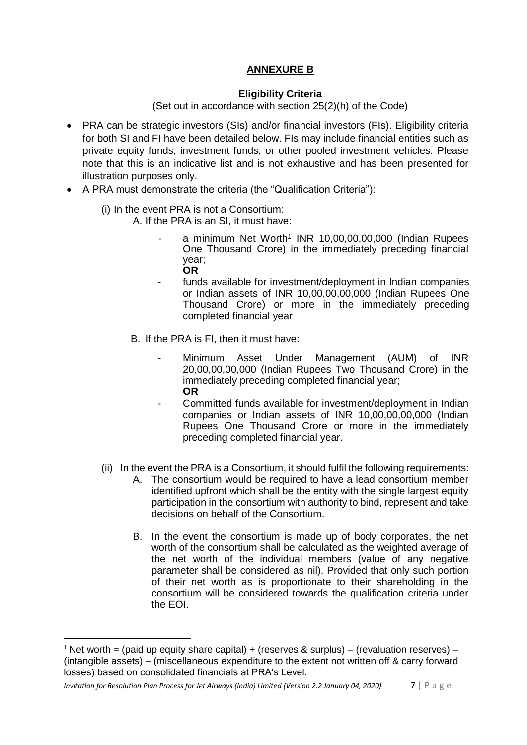## **ANNEXURE B**

#### **Eligibility Criteria**

(Set out in accordance with section 25(2)(h) of the Code)

- PRA can be strategic investors (SIs) and/or financial investors (FIs). Eligibility criteria for both SI and FI have been detailed below. FIs may include financial entities such as private equity funds, investment funds, or other pooled investment vehicles. Please note that this is an indicative list and is not exhaustive and has been presented for illustration purposes only.
- A PRA must demonstrate the criteria (the "Qualification Criteria"):
	- (i) In the event PRA is not a Consortium:
		- A. If the PRA is an SI, it must have:
			- a minimum Net Worth<sup>1</sup> INR 10,00,00,00,000 (Indian Rupees One Thousand Crore) in the immediately preceding financial year; **OR**
			- funds available for investment/deployment in Indian companies or Indian assets of INR 10,00,00,00,000 (Indian Rupees One Thousand Crore) or more in the immediately preceding completed financial year
			- B. If the PRA is FI, then it must have:
				- Minimum Asset Under Management (AUM) of INR 20,00,00,00,000 (Indian Rupees Two Thousand Crore) in the immediately preceding completed financial year; **OR**
				- Committed funds available for investment/deployment in Indian companies or Indian assets of INR 10,00,00,00,000 (Indian Rupees One Thousand Crore or more in the immediately preceding completed financial year.
	- (ii) In the event the PRA is a Consortium, it should fulfil the following requirements:
		- A. The consortium would be required to have a lead consortium member identified upfront which shall be the entity with the single largest equity participation in the consortium with authority to bind, represent and take decisions on behalf of the Consortium.
		- B. In the event the consortium is made up of body corporates, the net worth of the consortium shall be calculated as the weighted average of the net worth of the individual members (value of any negative parameter shall be considered as nil). Provided that only such portion of their net worth as is proportionate to their shareholding in the consortium will be considered towards the qualification criteria under the EOI.

 $\overline{a}$ 

<sup>&</sup>lt;sup>1</sup> Net worth = (paid up equity share capital) + (reserves & surplus) – (revaluation reserves) – (intangible assets) – (miscellaneous expenditure to the extent not written off & carry forward losses) based on consolidated financials at PRA's Level.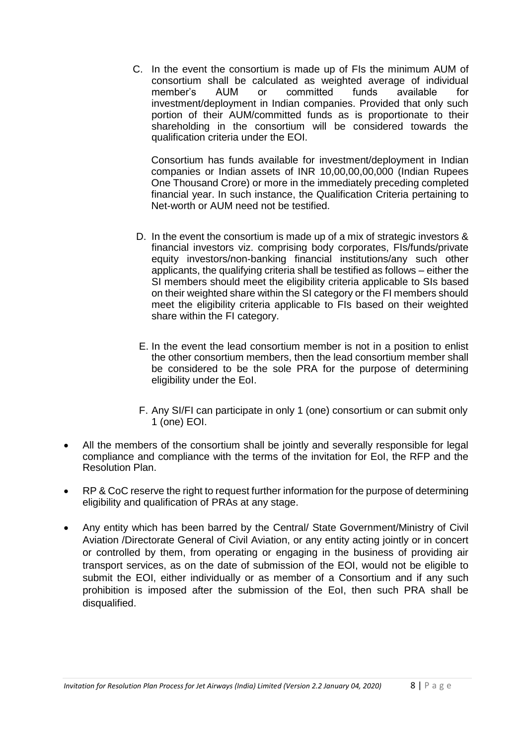C. In the event the consortium is made up of FIs the minimum AUM of consortium shall be calculated as weighted average of individual member's AUM or committed funds available for investment/deployment in Indian companies. Provided that only such portion of their AUM/committed funds as is proportionate to their shareholding in the consortium will be considered towards the qualification criteria under the EOI.

Consortium has funds available for investment/deployment in Indian companies or Indian assets of INR 10,00,00,00,000 (Indian Rupees One Thousand Crore) or more in the immediately preceding completed financial year. In such instance, the Qualification Criteria pertaining to Net-worth or AUM need not be testified.

- D. In the event the consortium is made up of a mix of strategic investors & financial investors viz. comprising body corporates, FIs/funds/private equity investors/non-banking financial institutions/any such other applicants, the qualifying criteria shall be testified as follows – either the SI members should meet the eligibility criteria applicable to SIs based on their weighted share within the SI category or the FI members should meet the eligibility criteria applicable to FIs based on their weighted share within the FI category.
- E. In the event the lead consortium member is not in a position to enlist the other consortium members, then the lead consortium member shall be considered to be the sole PRA for the purpose of determining eligibility under the EoI.
- F. Any SI/FI can participate in only 1 (one) consortium or can submit only 1 (one) EOI.
- All the members of the consortium shall be jointly and severally responsible for legal compliance and compliance with the terms of the invitation for EoI, the RFP and the Resolution Plan.
- RP & CoC reserve the right to request further information for the purpose of determining eligibility and qualification of PRAs at any stage.
- Any entity which has been barred by the Central/ State Government/Ministry of Civil Aviation /Directorate General of Civil Aviation, or any entity acting jointly or in concert or controlled by them, from operating or engaging in the business of providing air transport services, as on the date of submission of the EOI, would not be eligible to submit the EOI, either individually or as member of a Consortium and if any such prohibition is imposed after the submission of the EoI, then such PRA shall be disqualified.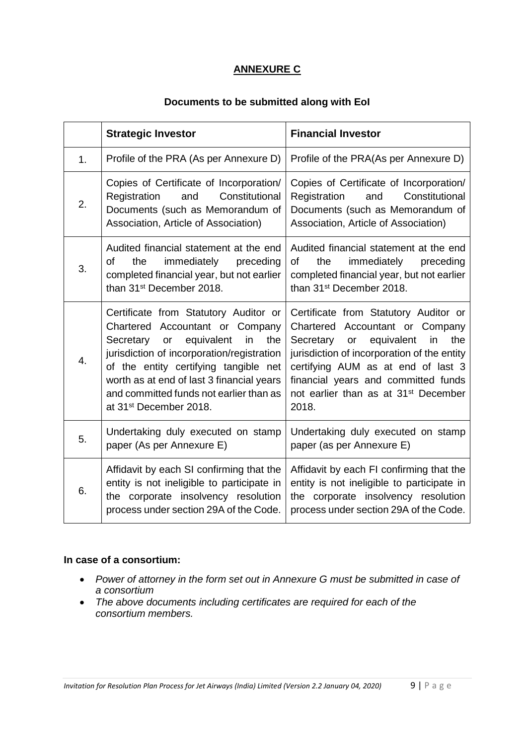# **ANNEXURE C**

#### **Documents to be submitted along with EoI**

|    | <b>Strategic Investor</b>                                                                                                                                                                                                                                                                                                                 | <b>Financial Investor</b>                                                                                                                                                                                                                                                                                 |
|----|-------------------------------------------------------------------------------------------------------------------------------------------------------------------------------------------------------------------------------------------------------------------------------------------------------------------------------------------|-----------------------------------------------------------------------------------------------------------------------------------------------------------------------------------------------------------------------------------------------------------------------------------------------------------|
| 1. | Profile of the PRA (As per Annexure D)                                                                                                                                                                                                                                                                                                    | Profile of the PRA(As per Annexure D)                                                                                                                                                                                                                                                                     |
| 2. | Copies of Certificate of Incorporation/<br>Constitutional<br>Registration<br>and<br>Documents (such as Memorandum of<br>Association, Article of Association)                                                                                                                                                                              | Copies of Certificate of Incorporation/<br>Constitutional<br>Registration<br>and<br>Documents (such as Memorandum of<br>Association, Article of Association)                                                                                                                                              |
| 3. | Audited financial statement at the end<br>of<br>immediately<br>the<br>preceding<br>completed financial year, but not earlier<br>than 31 <sup>st</sup> December 2018.                                                                                                                                                                      | Audited financial statement at the end<br>immediately<br>of<br>the<br>preceding<br>completed financial year, but not earlier<br>than 31 <sup>st</sup> December 2018.                                                                                                                                      |
| 4. | Certificate from Statutory Auditor or<br>Chartered Accountant or Company<br>equivalent<br>Secretary or<br>in.<br>the<br>jurisdiction of incorporation/registration<br>of the entity certifying tangible net<br>worth as at end of last 3 financial years<br>and committed funds not earlier than as<br>at 31 <sup>st</sup> December 2018. | Certificate from Statutory Auditor or<br>Chartered Accountant or Company<br>Secretary or equivalent<br>the<br>in<br>jurisdiction of incorporation of the entity<br>certifying AUM as at end of last 3<br>financial years and committed funds<br>not earlier than as at 31 <sup>st</sup> December<br>2018. |
| 5. | Undertaking duly executed on stamp<br>paper (As per Annexure E)                                                                                                                                                                                                                                                                           | Undertaking duly executed on stamp<br>paper (as per Annexure E)                                                                                                                                                                                                                                           |
| 6. | Affidavit by each SI confirming that the<br>entity is not ineligible to participate in<br>the corporate insolvency resolution<br>process under section 29A of the Code.                                                                                                                                                                   | Affidavit by each FI confirming that the<br>entity is not ineligible to participate in<br>the corporate insolvency resolution<br>process under section 29A of the Code.                                                                                                                                   |

#### **In case of a consortium:**

- *Power of attorney in the form set out in Annexure G must be submitted in case of a consortium*
- *The above documents including certificates are required for each of the consortium members.*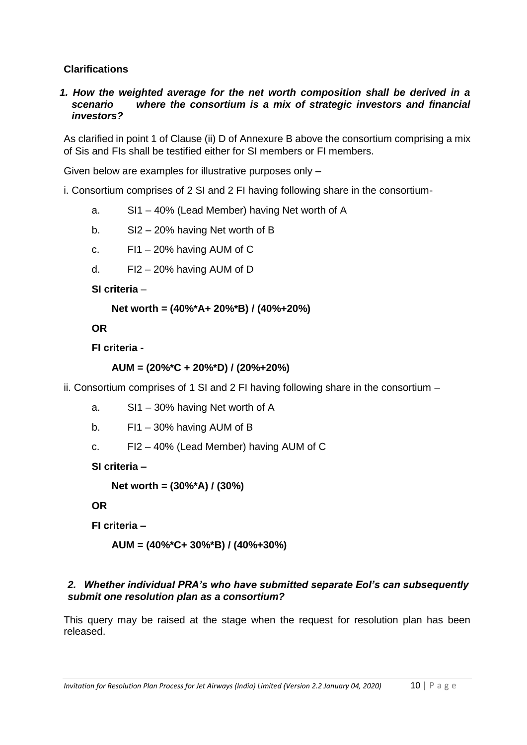### **Clarifications**

*1. How the weighted average for the net worth composition shall be derived in a scenario where the consortium is a mix of strategic investors and financial investors?*

As clarified in point 1 of Clause (ii) D of Annexure B above the consortium comprising a mix of Sis and FIs shall be testified either for SI members or FI members.

Given below are examples for illustrative purposes only –

i. Consortium comprises of 2 SI and 2 FI having following share in the consortium-

- a. SI1 40% (Lead Member) having Net worth of A
- b. SI2 20% having Net worth of B
- c. FI1 20% having AUM of C
- d. FI2 20% having AUM of D

**SI criteria** –

```
Net worth = (40%*A+ 20%*B) / (40%+20%)
```
**OR**

**FI criteria -**

```
AUM = (20%*C + 20%*D) / (20%+20%)
```
ii. Consortium comprises of 1 SI and 2 FI having following share in the consortium –

- a. SI1 30% having Net worth of A
- b. FI1 30% having AUM of B
- c. FI2 40% (Lead Member) having AUM of C

**SI criteria –**

**Net worth = (30%\*A) / (30%)**

**OR**

**FI criteria –**

**AUM = (40%\*C+ 30%\*B) / (40%+30%)**

### *2. Whether individual PRA's who have submitted separate EoI's can subsequently submit one resolution plan as a consortium?*

This query may be raised at the stage when the request for resolution plan has been released.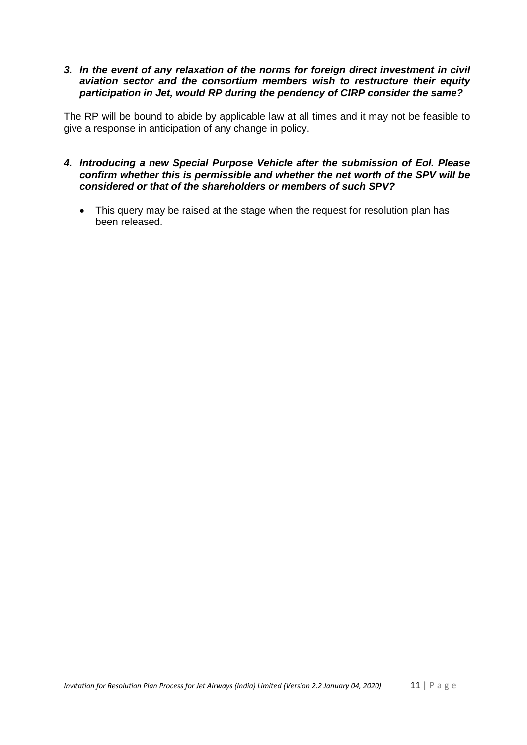#### *3. In the event of any relaxation of the norms for foreign direct investment in civil aviation sector and the consortium members wish to restructure their equity participation in Jet, would RP during the pendency of CIRP consider the same?*

The RP will be bound to abide by applicable law at all times and it may not be feasible to give a response in anticipation of any change in policy.

- *4. Introducing a new Special Purpose Vehicle after the submission of EoI. Please confirm whether this is permissible and whether the net worth of the SPV will be considered or that of the shareholders or members of such SPV?*
	- This query may be raised at the stage when the request for resolution plan has been released.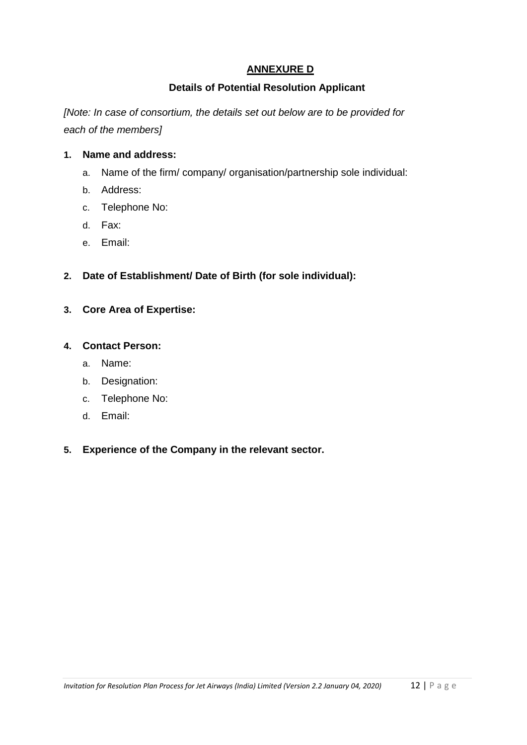## **ANNEXURE D**

### **Details of Potential Resolution Applicant**

*[Note: In case of consortium, the details set out below are to be provided for each of the members]*

#### **1. Name and address:**

- a. Name of the firm/ company/ organisation/partnership sole individual:
- b. Address:
- c. Telephone No:
- d. Fax:
- e. Email:

### **2. Date of Establishment/ Date of Birth (for sole individual):**

**3. Core Area of Expertise:**

#### **4. Contact Person:**

- a. Name:
- b. Designation:
- c. Telephone No:
- d. Email:

### **5. Experience of the Company in the relevant sector.**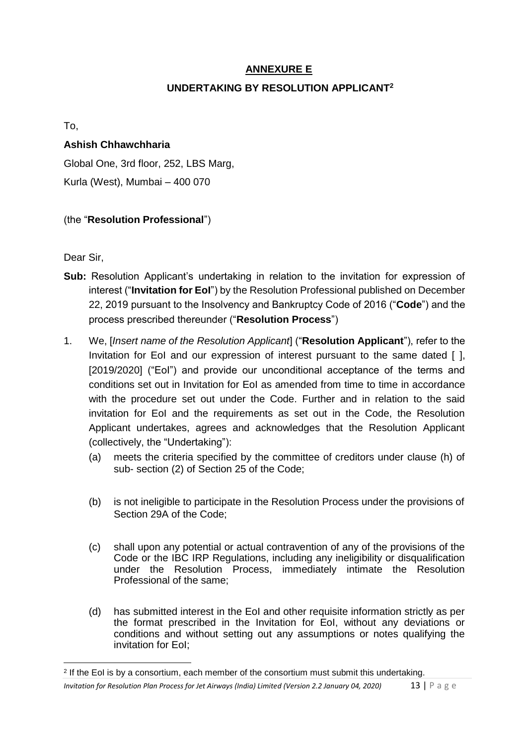## **ANNEXURE E**

## **UNDERTAKING BY RESOLUTION APPLICANT<sup>2</sup>**

To,

### **Ashish Chhawchharia**

Global One, 3rd floor, 252, LBS Marg, Kurla (West), Mumbai – 400 070

## (the "**Resolution Professional**")

Dear Sir,

**.** 

- **Sub:** Resolution Applicant's undertaking in relation to the invitation for expression of interest ("**Invitation for EoI**") by the Resolution Professional published on December 22, 2019 pursuant to the Insolvency and Bankruptcy Code of 2016 ("**Code**") and the process prescribed thereunder ("**Resolution Process**")
- 1. We, [*Insert name of the Resolution Applicant*] ("**Resolution Applicant**"), refer to the Invitation for EoI and our expression of interest pursuant to the same dated [ ], [2019/2020] ("Eol") and provide our unconditional acceptance of the terms and conditions set out in Invitation for EoI as amended from time to time in accordance with the procedure set out under the Code. Further and in relation to the said invitation for EoI and the requirements as set out in the Code, the Resolution Applicant undertakes, agrees and acknowledges that the Resolution Applicant (collectively, the "Undertaking"):
	- (a) meets the criteria specified by the committee of creditors under clause (h) of sub- section (2) of Section 25 of the Code;
	- (b) is not ineligible to participate in the Resolution Process under the provisions of Section 29A of the Code;
	- (c) shall upon any potential or actual contravention of any of the provisions of the Code or the IBC IRP Regulations, including any ineligibility or disqualification under the Resolution Process, immediately intimate the Resolution Professional of the same;
	- (d) has submitted interest in the EoI and other requisite information strictly as per the format prescribed in the Invitation for EoI, without any deviations or conditions and without setting out any assumptions or notes qualifying the invitation for EoI;

*Invitation for Resolution Plan Process for Jet Airways (India) Limited (Version 2.2 January 04, 2020)* 13 | P a g e <sup>2</sup> If the EoI is by a consortium, each member of the consortium must submit this undertaking.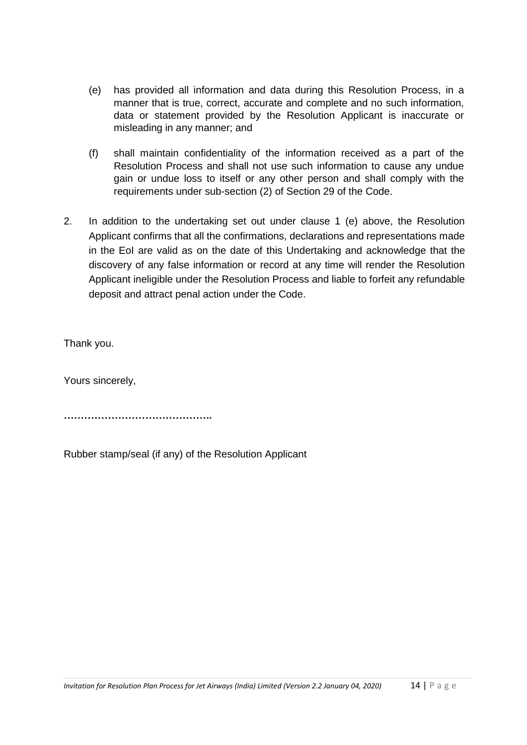- (e) has provided all information and data during this Resolution Process, in a manner that is true, correct, accurate and complete and no such information, data or statement provided by the Resolution Applicant is inaccurate or misleading in any manner; and
- (f) shall maintain confidentiality of the information received as a part of the Resolution Process and shall not use such information to cause any undue gain or undue loss to itself or any other person and shall comply with the requirements under sub-section (2) of Section 29 of the Code.
- 2. In addition to the undertaking set out under clause 1 (e) above, the Resolution Applicant confirms that all the confirmations, declarations and representations made in the EoI are valid as on the date of this Undertaking and acknowledge that the discovery of any false information or record at any time will render the Resolution Applicant ineligible under the Resolution Process and liable to forfeit any refundable deposit and attract penal action under the Code.

Thank you.

Yours sincerely,

**……………………………………..**

Rubber stamp/seal (if any) of the Resolution Applicant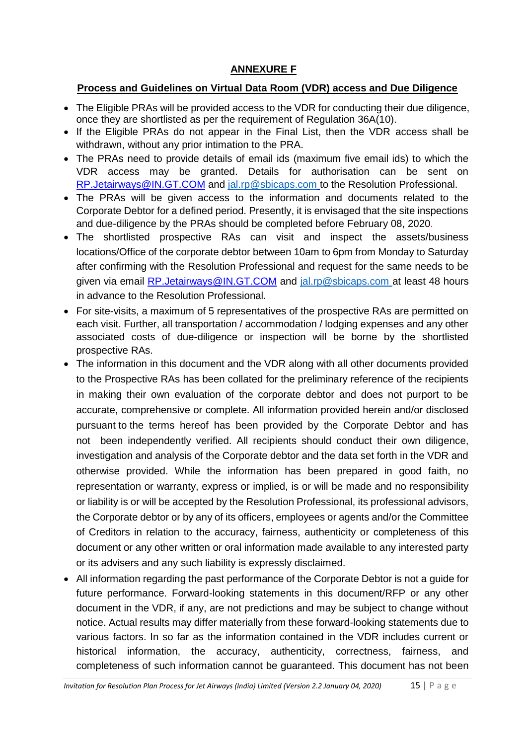# **ANNEXURE F**

# **Process and Guidelines on Virtual Data Room (VDR) access and Due Diligence**

- The Eligible PRAs will be provided access to the VDR for conducting their due diligence, once they are shortlisted as per the requirement of Regulation 36A(10).
- If the Eligible PRAs do not appear in the Final List, then the VDR access shall be withdrawn, without any prior intimation to the PRA.
- The PRAs need to provide details of email ids (maximum five email ids) to which the VDR access may be granted. Details for authorisation can be sent on RP.Jetairways@IN.GT.COM and [jal.rp@sbicaps.com](mailto:jal.rp@sbicaps.com) to the Resolution Professional.
- The PRAs will be given access to the information and documents related to the Corporate Debtor for a defined period. Presently, it is envisaged that the site inspections and due-diligence by the PRAs should be completed before February 08, 2020.
- The shortlisted prospective RAs can visit and inspect the assets/business locations/Office of the corporate debtor between 10am to 6pm from Monday to Saturday after confirming with the Resolution Professional and request for the same needs to be given via email RP.Jetairways@IN.GT.COM and [jal.rp@sbicaps.com](mailto:jal.rp@sbicaps.com) at least 48 hours in advance to the Resolution Professional.
- For site-visits, a maximum of 5 representatives of the prospective RAs are permitted on each visit. Further, all transportation / accommodation / lodging expenses and any other associated costs of due-diligence or inspection will be borne by the shortlisted prospective RAs.
- The information in this document and the VDR along with all other documents provided to the Prospective RAs has been collated for the preliminary reference of the recipients in making their own evaluation of the corporate debtor and does not purport to be accurate, comprehensive or complete. All information provided herein and/or disclosed pursuant to the terms hereof has been provided by the Corporate Debtor and has not been independently verified. All recipients should conduct their own diligence, investigation and analysis of the Corporate debtor and the data set forth in the VDR and otherwise provided. While the information has been prepared in good faith, no representation or warranty, express or implied, is or will be made and no responsibility or liability is or will be accepted by the Resolution Professional, its professional advisors, the Corporate debtor or by any of its officers, employees or agents and/or the Committee of Creditors in relation to the accuracy, fairness, authenticity or completeness of this document or any other written or oral information made available to any interested party or its advisers and any such liability is expressly disclaimed.
- All information regarding the past performance of the Corporate Debtor is not a guide for future performance. Forward-looking statements in this document/RFP or any other document in the VDR, if any, are not predictions and may be subject to change without notice. Actual results may differ materially from these forward-looking statements due to various factors. In so far as the information contained in the VDR includes current or historical information, the accuracy, authenticity, correctness, fairness, and completeness of such information cannot be guaranteed. This document has not been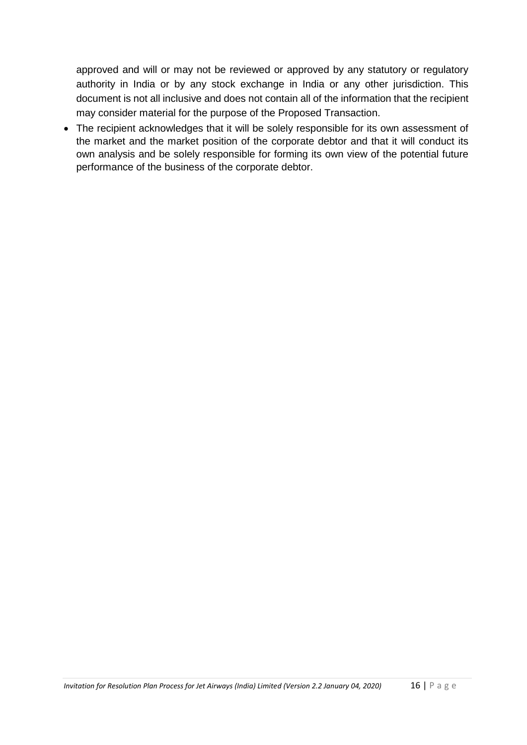approved and will or may not be reviewed or approved by any statutory or regulatory authority in India or by any stock exchange in India or any other jurisdiction. This document is not all inclusive and does not contain all of the information that the recipient may consider material for the purpose of the Proposed Transaction.

 The recipient acknowledges that it will be solely responsible for its own assessment of the market and the market position of the corporate debtor and that it will conduct its own analysis and be solely responsible for forming its own view of the potential future performance of the business of the corporate debtor.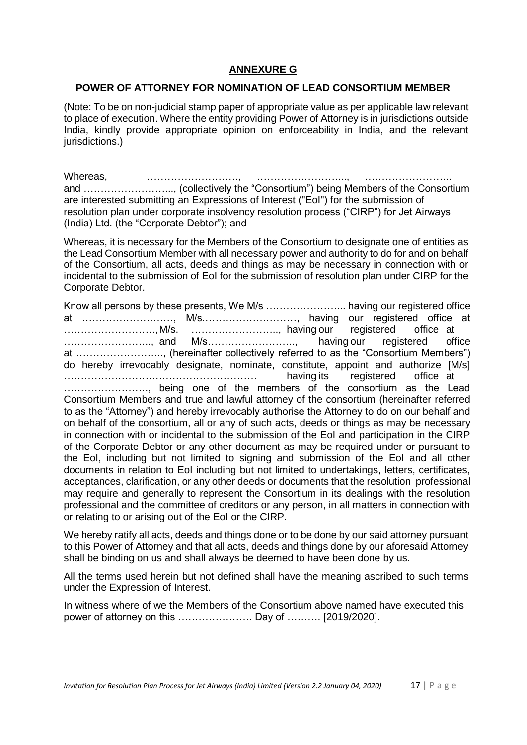### **ANNEXURE G**

#### **POWER OF ATTORNEY FOR NOMINATION OF LEAD CONSORTIUM MEMBER**

(Note: To be on non-judicial stamp paper of appropriate value as per applicable law relevant to place of execution. Where the entity providing Power of Attorney is in jurisdictions outside India, kindly provide appropriate opinion on enforceability in India, and the relevant jurisdictions.)

Whereas, …………………………, ………………………… and ……………………..., (collectively the "Consortium") being Members of the Consortium are interested submitting an Expressions of Interest ("EoI") for the submission of resolution plan under corporate insolvency resolution process ("CIRP") for Jet Airways (India) Ltd. (the "Corporate Debtor"); and

Whereas, it is necessary for the Members of the Consortium to designate one of entities as the Lead Consortium Member with all necessary power and authority to do for and on behalf of the Consortium, all acts, deeds and things as may be necessary in connection with or incidental to the submission of EoI for the submission of resolution plan under CIRP for the Corporate Debtor.

Know all persons by these presents, We M/s …………………... having our registered office at ………………………, M/s.………………………, having our registered office at ………………………,M/s. …………………….., having our registered office at …………………….., and M/s…………………….., having our registered office at …………………….., (hereinafter collectively referred to as the "Consortium Members") do hereby irrevocably designate, nominate, constitute, appoint and authorize [M/s] ………………………………………………… having its registered office at ……………………., being one of the members of the consortium as the Lead Consortium Members and true and lawful attorney of the consortium (hereinafter referred to as the "Attorney") and hereby irrevocably authorise the Attorney to do on our behalf and on behalf of the consortium, all or any of such acts, deeds or things as may be necessary in connection with or incidental to the submission of the EoI and participation in the CIRP of the Corporate Debtor or any other document as may be required under or pursuant to the EoI, including but not limited to signing and submission of the EoI and all other documents in relation to EoI including but not limited to undertakings, letters, certificates, acceptances, clarification, or any other deeds or documents that the resolution professional may require and generally to represent the Consortium in its dealings with the resolution professional and the committee of creditors or any person, in all matters in connection with or relating to or arising out of the EoI or the CIRP.

We hereby ratify all acts, deeds and things done or to be done by our said attorney pursuant to this Power of Attorney and that all acts, deeds and things done by our aforesaid Attorney shall be binding on us and shall always be deemed to have been done by us.

All the terms used herein but not defined shall have the meaning ascribed to such terms under the Expression of Interest.

In witness where of we the Members of the Consortium above named have executed this power of attorney on this …………………. Day of ………. [2019/2020].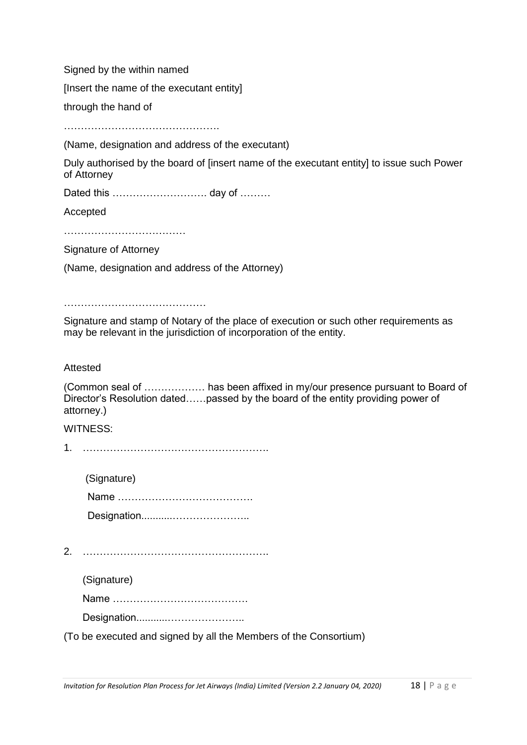Signed by the within named

[Insert the name of the executant entity]

through the hand of

……………………………………………………

(Name, designation and address of the executant)

Duly authorised by the board of [insert name of the executant entity] to issue such Power of Attorney

Dated this ………………………… day of ………

Accepted

……………………………………

Signature of Attorney

(Name, designation and address of the Attorney)

……………………………………

Signature and stamp of Notary of the place of execution or such other requirements as may be relevant in the jurisdiction of incorporation of the entity.

#### Attested

(Common seal of ……………… has been affixed in my/our presence pursuant to Board of Director's Resolution dated……passed by the board of the entity providing power of attorney.)

#### WITNESS:

1. ……………………………………………….

(Signature) Name …………………………………. Designation...........…………………..

2. ……………………………………………….

(Signature)

Name ………………………………….

Designation...........…………………..

(To be executed and signed by all the Members of the Consortium)